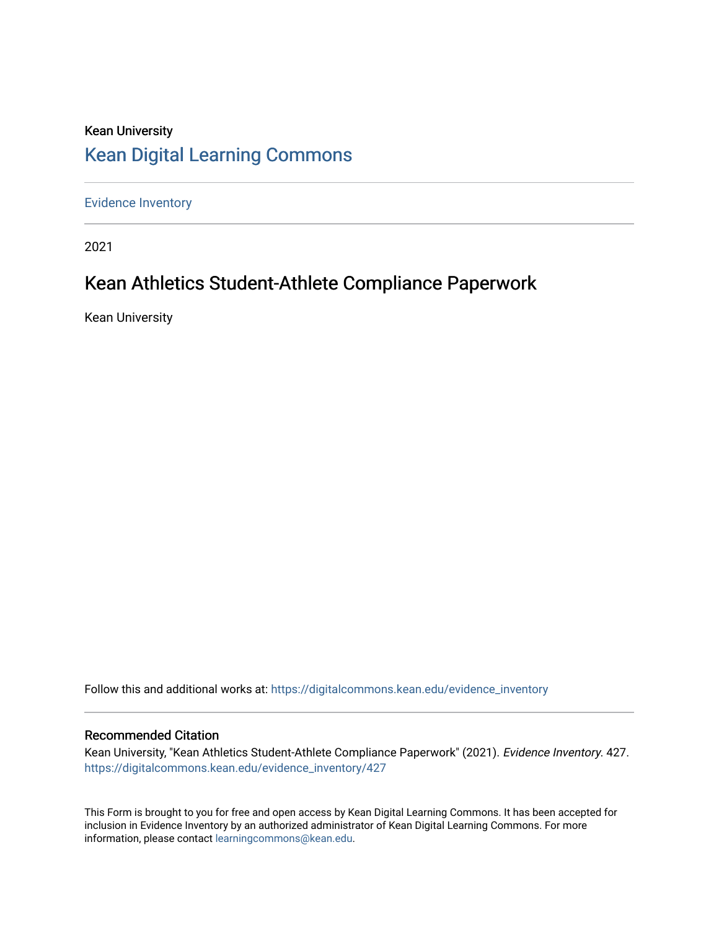## Kean University [Kean Digital Learning Commons](https://digitalcommons.kean.edu/)

[Evidence Inventory](https://digitalcommons.kean.edu/evidence_inventory) 

2021

## Kean Athletics Student-Athlete Compliance Paperwork

Kean University

Follow this and additional works at: [https://digitalcommons.kean.edu/evidence\\_inventory](https://digitalcommons.kean.edu/evidence_inventory?utm_source=digitalcommons.kean.edu%2Fevidence_inventory%2F427&utm_medium=PDF&utm_campaign=PDFCoverPages)

### Recommended Citation

Kean University, "Kean Athletics Student-Athlete Compliance Paperwork" (2021). Evidence Inventory. 427. [https://digitalcommons.kean.edu/evidence\\_inventory/427](https://digitalcommons.kean.edu/evidence_inventory/427?utm_source=digitalcommons.kean.edu%2Fevidence_inventory%2F427&utm_medium=PDF&utm_campaign=PDFCoverPages)

This Form is brought to you for free and open access by Kean Digital Learning Commons. It has been accepted for inclusion in Evidence Inventory by an authorized administrator of Kean Digital Learning Commons. For more information, please contact [learningcommons@kean.edu](mailto:learningcommons@kean.edu).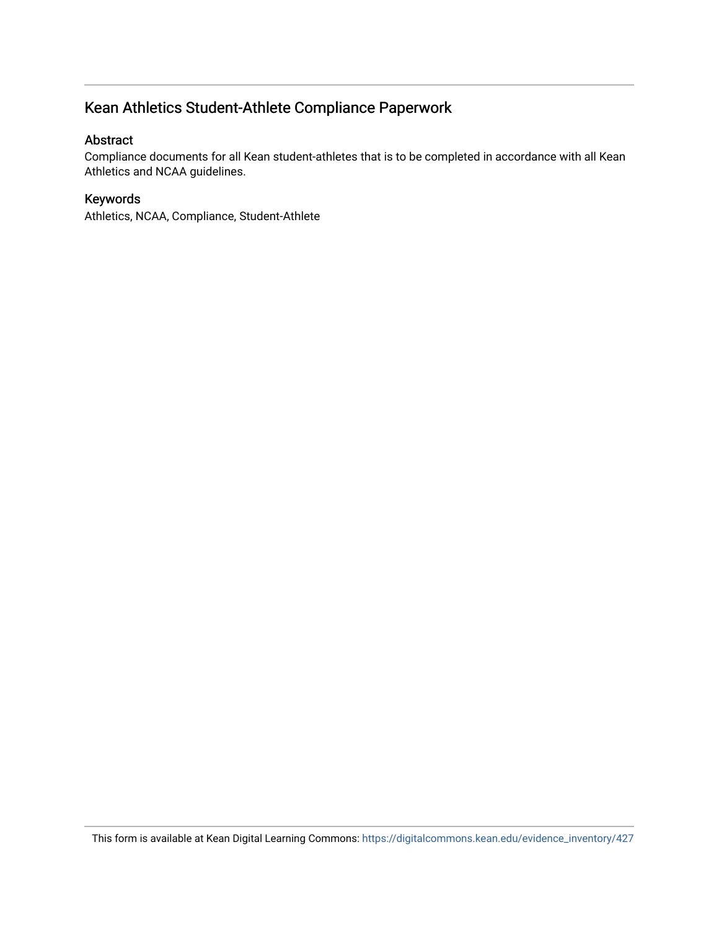## Kean Athletics Student-Athlete Compliance Paperwork

### Abstract

Compliance documents for all Kean student-athletes that is to be completed in accordance with all Kean Athletics and NCAA guidelines.

### Keywords

Athletics, NCAA, Compliance, Student-Athlete

This form is available at Kean Digital Learning Commons: [https://digitalcommons.kean.edu/evidence\\_inventory/427](https://digitalcommons.kean.edu/evidence_inventory/427)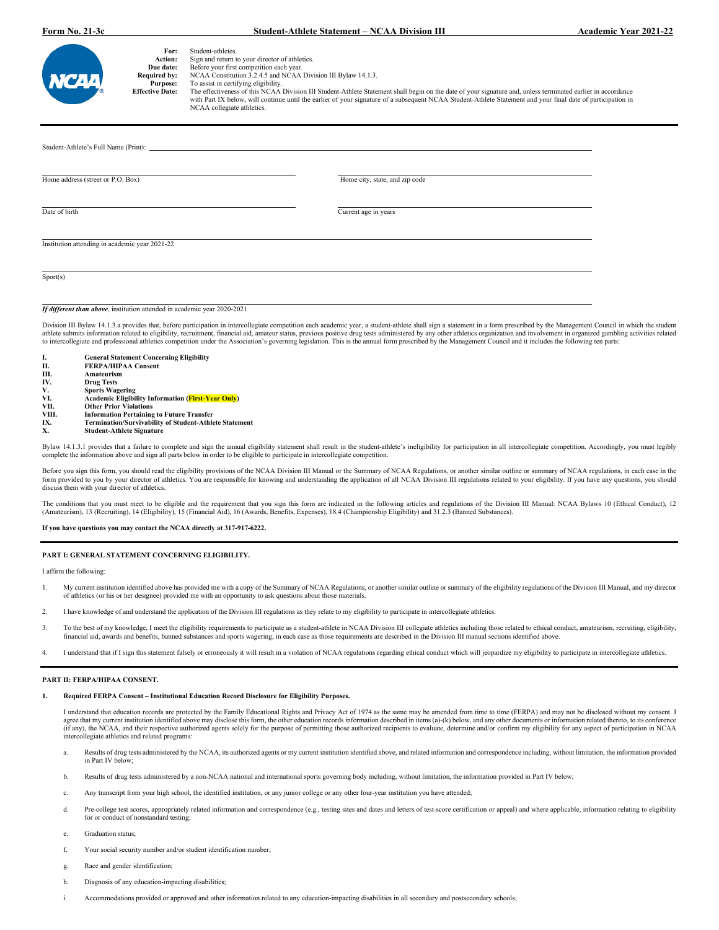#### **Form No. 21-3c Student-Athlete Statement – NCAA Division III Academic Year 2021-22**

| W |
|---|
| ® |

| †or: | Student-athletes. |  |
|------|-------------------|--|
|      |                   |  |

**For:** Student-athletes.<br> **Action:** Sign and return to your director of athletics.

**Due date:** Before your first competition each year.<br>**Required by:** NCAA Constitution 3.2.4.5 and NCAA Division III Bylaw 14.1.3.

**Purpose:** To assist in certifying eligibility.<br>**Effective Date:** The effectiveness of this NCAA

Effective Date: The effectiveness of this NCAA Division III Student-Athlete Statement shall begin on the date of your signature and, unless terminated earlier in accordance<br>with Part IX below, will continue until the earli NCAA collegiate athletics.

| Home address (street or P.O. Box)                                        | Home city, state, and zip code |  |
|--------------------------------------------------------------------------|--------------------------------|--|
| Date of birth                                                            | Current age in years           |  |
| Institution attending in academic year 2021-22                           |                                |  |
| Sports)                                                                  |                                |  |
| If different than above, institution attended in academic year 2020-2021 |                                |  |

Division III Bylaw 14.1.3.a provides that, before participation in intercollegiate competition each academic year, a student-athlete shall sign a statement in a form prescribed by the Management Council in which the studen to intercollegiate and professional athletics competition under the Association's governing legislation. This is the annual form prescribed by the Management Council and it includes the following ten parts:

| <b>General Statement Concerning Eligibility</b>               |
|---------------------------------------------------------------|
| <b>FERPA/HIPAA Consent</b>                                    |
| Amateurism                                                    |
| <b>Drug Tests</b>                                             |
| <b>Sports Wagering</b>                                        |
| <b>Academic Eligibility Information (First-Year Only)</b>     |
| <b>Other Prior Violations</b>                                 |
| <b>Information Pertaining to Future Transfer</b>              |
| <b>Termination/Survivability of Student-Athlete Statement</b> |
| <b>Student-Athlete Signature</b>                              |
|                                                               |

Bylaw 14.1.3.1 provides that a failure to complete and sign the annual eligibility statement shall result in the student-athlete's ineligibility for participation in all intercollegiate competition. Accordingly, you must l complete the information above and sign all parts below in order to be eligible to participate in intercollegiate competition.

Before you sign this form, you should read the eligibility provisions of the NCAA Division III Manual or the Summary of NCAA Regulations, or another similar outline or summary of NCAA regulations, in each case in the form provided to you by your director of athletics. You are responsible for knowing and understanding the application of all NCAA Division III regulations related to your eligibility. If you have any questions, you should<br>

The conditions that you must meet to be eligible and the requirement that you sign this form are indicated in the following articles and regulations of the Division III Manual: NCAA Bylaws 10 (Ethical Conduct), 12 (Amateur

#### **If you have questions you may contact the NCAA directly at 317-917-6222.**

#### **PART I: GENERAL STATEMENT CONCERNING ELIGIBILITY.**

I affirm the following:

- 1. My current institution identified above has provided me with a copy of the Summary of NCAA Regulations, or another similar outline or summary of the eligibility regulations of the Division III Manual, and my director of athletics (or his or her designee) provided me with an opportunity to ask questions about those materials.
- 2. I have knowledge of and understand the application of the Division III regulations as they relate to my eligibility to participate in intercollegiate athletics.
- 3. To the best of my knowledge, I meet the eligibility requirements to participate as a student-athlete in NCAA Division III collegiate athletics including those related to ethical conduct, amateurism, recruiting, eligibil
- 4. I understand that if I sign this statement falsely or erroneously it will result in a violation of NCAA regulations regarding ethical conduct which will jeopardize my eligibility to participate in intercollegiate athlet

#### **PART II: FERPA/HIPAA CONSENT.**

#### **1. Required FERPA Consent – Institutional Education Record Disclosure for Eligibility Purposes.**

I understand that education records are protected by the Family Educational Rights and Privacy Act of 1974 as the same may be amended from time to time (FERPA) and may not be disclosed without my consent. I agree that my current institution identified above may disclose this form, the other education records information described in items (a)-(k) below, and any other documents or information related thereto, to its conference (if any), the NCAA, and their respective authorized agents solely for the purpose of permitting those authorized recipients to evaluate, determine and/or confirm my eligibility for any aspect of participation in NCAA intercollegiate athletics and related programs:

- a. Results of drug tests administered by the NCAA, its authorized agents or my current institution identified above, and related information and correspondence including, without limitation, the information provided in Part IV below;
- b. Results of drug tests administered by a non-NCAA national and international sports governing body including, without limitation, the information provided in Part IV below;
- Any transcript from your high school, the identified institution, or any junior college or any other four-year institution you have attended;
- Pre-college test scores, appropriately related information and correspondence (e.g., testing sites and dates and letters of test-score certification or appeal) and where applicable, information relating to eligibility for or conduct of nonstandard testing;
- Graduation status;
- f. Your social security number and/or student identification number;
- g. Race and gender identification;
- h. Diagnosis of any education-impacting disabilities:
- Accommodations provided or approved and other information related to any education-impacting disabilities in all secondary and postsecondary schools;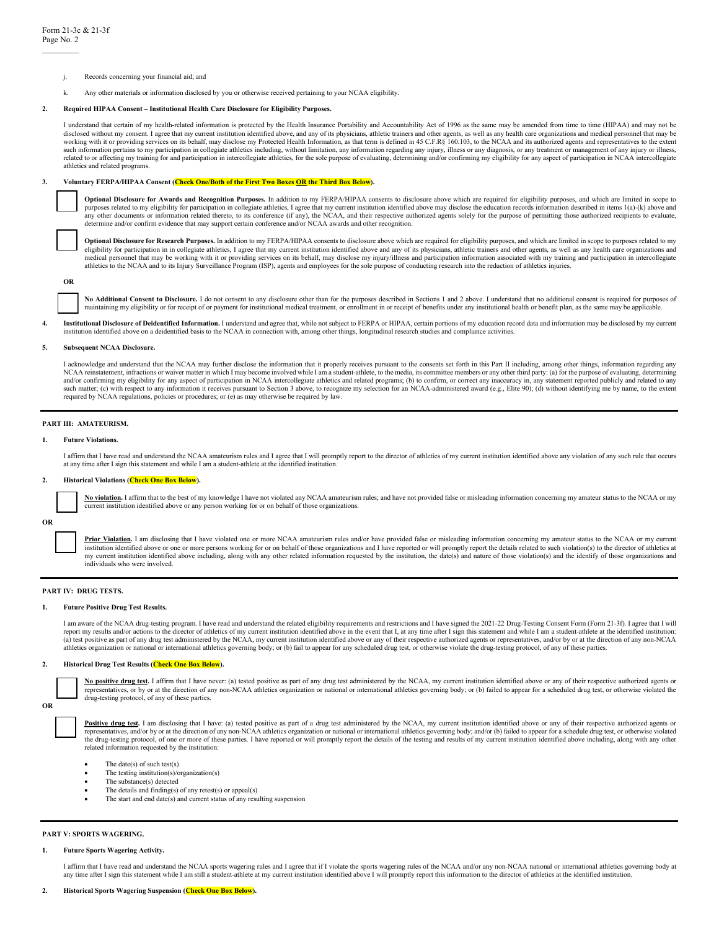- j. Records concerning your financial aid; and
- k. Any other materials or information disclosed by you or otherwise received pertaining to your NCAA eligibility.

#### **2. Required HIPAA Consent – Institutional Health Care Disclosure for Eligibility Purposes.**

I understand that certain of my health-related information is protected by the Health Insurance Portability and Accountability Act of 1996 as the same may be amended from time to time (HIPAA) and may not be disclosed without my consent. I agree that my current institution identified above, and any of its physicians, athletic trainers and other agents, as well as any health care organizations and medical personnel that may be<br> such information pertains to my participation in collegiate athletics including, without limitation, any information regarding any injury, illness or any diagnosis, or any treatment or management of any injury or illness, related to or affecting my training for and participation in intercollegiate athletics, for the sole purpose of evaluating, determining and/or confirming my eligibility for any aspect of participation in NCAA intercollegiate athletics and related programs.

#### **3. Voluntary FERPA/HIPAA Consent (Check One/Both of the First Two Boxes OR the Third Box Below).**

**Optional Disclosure for Awards and Recognition Purposes.** In addition to my FERPA/HIPAA consents to disclosure above which are required for eligibility purposes, and which are limited in scope to purposes related to my eligibility for participation in collegiate athletics, I agree that my current institution identified above may disclose the education records information described in items 1(a)-(k) above and any other documents or information related thereto, to its conference (if any), the NCAA, and their respective authorized agents solely for the purpose of permitting those authorized recipients to evaluate, determine and/or confirm evidence that may support certain conference and/or NCAA awards and other recognition.



Optional Disclosure for Research Purposes. In addition to my FERPA/HIPAA consents to disclosure above which are required for eligibility purposes, and which are limited in scope to purposes related to my eligibility for participation in in collegiate athletics, I agree that my current institution identified above and any of its physicians, athletic trainers and other agents, as well as any health care organizations and<br>med athletics to the NCAA and to its Injury Surveillance Program (ISP), agents and employees for the sole purpose of conducting research into the reduction of athletics injuries.

**OR**

No Additional Consent to Disclosure. I do not consent to any disclosure other than for the purposes described in Sections 1 and 2 above. I understand that no additional consent is required for purposes of maintaining my eligibility or for receipt of or payment for institutional medical treatment, or enrollment in or receipt of benefits under any institutional health or benefit plan, as the same may be applicable.

4. Institutional Disclosure of Deidentified Information. I understand and agree that, while not subject to FERPA or HIPAA, certain portions of my education record data and information may be disclosed by my current institution identified above on a deidentified basis to the NCAA in connection with, among other things, longitudinal research studies and compliance activities.

#### **5. Subsequent NCAA Disclosure.**

I acknowledge and understand that the NCAA may further disclose the information that it properly receives pursuant to the consents set forth in this Part II including, among other things, information regarding any NCAA reinstatement, infractions or waiver matter in which I may become involved while I am a student-athlete, to the media, its committee members or any other third party: (a) for the purpose of evaluating, determining, de and/or confirming my eligibility for any aspect of participation in NCAA intercollegiate athletics and related programs; (b) to confirm, or correct any inaccuracy in, any statement reported publicly and related to any such matter; (c) with respect to any information it receives pursuant to Section 3 above, to recognize my selection for an NCAA-administered award (e.g., Elite 90); (d) without identifying me by name, to the extent required by NCAA regulations, policies or procedures; or (e) as may otherwise be required by law.

#### **PART III: AMATEURISM.**

#### **1. Future Violations.**

I affirm that I have read and understand the NCAA amateurism rules and I agree that I will promptly report to the director of athletics of my current institution identified above any violation of any such rule that occurs at any time after I sign this statement and while I am a student-athlete at the identified institution.

#### **2. Historical Violations (Check One Box Below).**

**OR**

No violation. I affirm that to the best of my knowledge I have not violated any NCAA amateurism rules; and have not provided false or misleading information concerning my amateur status to the NCAA or my current institution identified above or any person working for or on behalf of those organizations.

Prior Violation. I am disclosing that I have violated one or more NCAA amateurism rules and/or have provided false or misleading information concerning my amateur status to the NCAA or my current institution identified above or one or more persons working for or on behalf of those organizations and I have reported or will promptly report the details related to such violation(s) to the director of athletics at my current institution identified above including, along with any other related information requested by the institution, the date(s) and nature of those violation(s) and the identify of those organizations and individuals who were involved.

#### **PART IV: DRUG TESTS.**

#### **1. Future Positive Drug Test Results.**

I am aware of the NCAA drug-testing program. I have read and understand the related eligibility requirements and restrictions and I have signed the 2021-22 Drug-Testing Consent Form (Form 21-3f). I agree that I will report my results and/or actions to the director of athletics of my current institution identified above in the event that I, at any time after I sign this statement and while I am a student-athlete at the identified insti (a) test positive as part of any drug test administered by the NCAA, my current institution identified above or any of their respective authorized agents or representatives, and/or by or at the direction of any non-NCAA athletics organization or national or international athletics governing body; or (b) fail to appear for any scheduled drug test, or otherwise violate the drug-testing protocol, of any of these parties.

#### **2. Historical Drug Test Results (Check One Box Below).**

No positive drug test. I affirm that I have never: (a) tested positive as part of any drug test administered by the NCAA, my current institution identified above or any of their respective authorized agents or representatives, or by or at the direction of any non-NCAA athletics organization or national or international athletics governing body; or (b) failed to appear for a scheduled drug test, or otherwise violated the<br>drug-tes

**OR**

Positive drug test. I am disclosing that I have: (a) tested positive as part of a drug test administered by the NCAA, my current institution identified above or any of their respective authorized agents or representatives, and/or by or at the direction of any non-NCAA athletics organization or national or international athletics governing body; and/or (b) failed to appear for a schedule drug test, or otherwise violated the drug-testing protocol, of one or more of these parties. I have reported or will promptly report the details of the testing and results of my current institution identified above including, along with any other related information requested by the institution:

- The date(s) of such test(s)
- The testing institution(s)/organization(s)
- The substance(s) detected
- The details and finding(s) of any retest(s) or appeal(s)
- The start and end date(s) and current status of any resulting suspension

#### **PART V: SPORTS WAGERING.**

#### **1. Future Sports Wagering Activity.**

I affirm that I have read and understand the NCAA sports wagering rules and I agree that if I violate the sports wagering rules of the NCAA and/or any non-NCAA national or international athletics governing body at any time after I sign this statement while I am still a student-athlete at my current institution identified above I will promptly report this information to the director of athletics at the identified institution.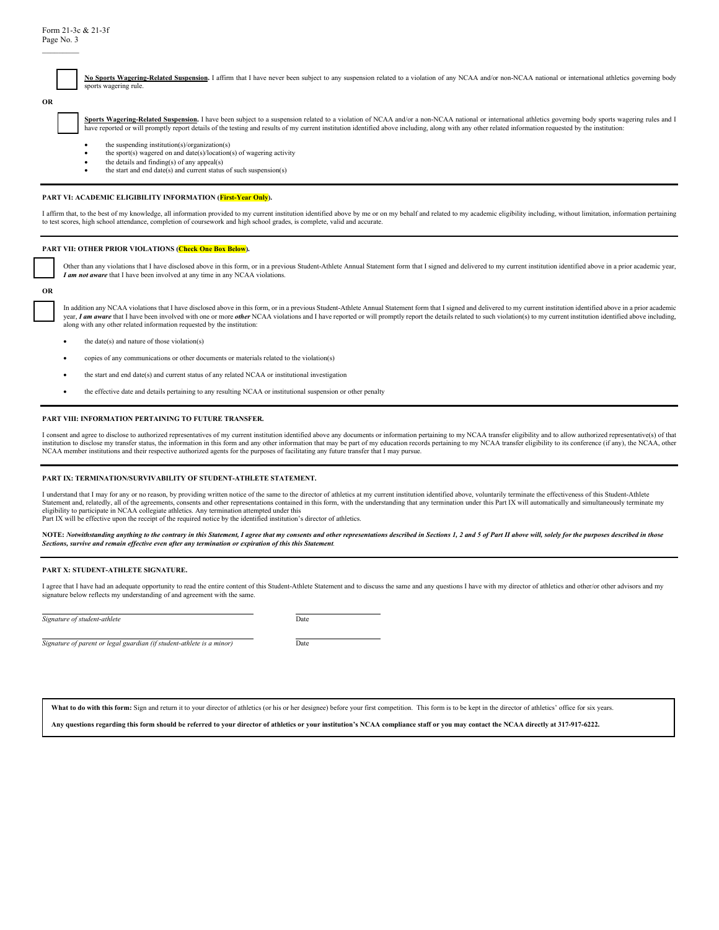$\mathcal{L}_\text{max}$ 

| No Sports Wagering-Related Suspension, I affirm that I have never been subject to any suspension related to a violation of any NCAA and/or non-NCAA national or international athletics governing body |
|--------------------------------------------------------------------------------------------------------------------------------------------------------------------------------------------------------|
| sports wagering rule.                                                                                                                                                                                  |

Sports Wagering-Related Suspension. I have been subject to a suspension related to a violation of NCAA and/or a non-NCAA national or international athletics governing body sports wagering rules and I have reported or will promptly report details of the testing and results of my current institution identified above including, along with any other related information requested by the institution:

- the suspending institution(s)/organization(s)
- the sport(s) wagered on and date(s)/location(s) of wagering activity
- the details and finding(s) of any appeal(s)
- the start and end date(s) and current status of such suspension(s)

#### **PART VI: ACADEMIC ELIGIBILITY INFORMATION (First-Year Only).**

I affirm that, to the best of my knowledge, all information provided to my current institution identified above by me or on my behalf and related to my academic eligibility including, without limitation, information pertai to test scores, high school attendance, completion of coursework and high school grades, is complete, valid and accurate.

#### **PART VII: OTHER PRIOR VIOLATIONS (Check One Box Below).**

Other than any violations that I have disclosed above in this form, or in a previous Student-Athlete Annual Statement form that I signed and delivered to my current institution identified above in a prior academic year, *I am not aware* that I have been involved at any time in any NCAA violations.

**OR**

☐ In addition any NCAA violations that I have disclosed above in this form, or in a previous Student-Athlete Annual Statement form that I signed and delivered to my current institution identified above in a prior academic year, I am aware that I have been involved with one or more other NCAA violations and I have reported or will promptly report the details related to such violation(s) to my current institution identified above including, along with any other related information requested by the institution:

- the date(s) and nature of those violation(s)
- copies of any communications or other documents or materials related to the violation(s)
- the start and end date(s) and current status of any related NCAA or institutional investigation
- the effective date and details pertaining to any resulting NCAA or institutional suspension or other penalty

#### **PART VIII: INFORMATION PERTAINING TO FUTURE TRANSFER.**

I consent and agree to disclose to authorized representatives of my current institution identified above any documents or information pertaining to my NCAA transfer eligibility and to allow authorized representative(s) of institution to disclose my transfer status, the information in this form and any other information that may be part of my education records pertaining to my NCAA transfer eligibility to its conference (if any), the NCAA, o NCAA member institutions and their respective authorized agents for the purposes of facilitating any future transfer that I may pursue.

#### **PART IX: TERMINATION/SURVIVABILITY OF STUDENT-ATHLETE STATEMENT.**

I understand that I may for any or no reason, by providing written notice of the same to the director of athletics at my current institution identified above, voluntarily terminate the effectiveness of this Student-Athlete Function and the agreements, consents and other representations contained in this form, with the understanding that any termination under this Part IX will automatically and simultaneously terminate my consents and other r eligibility to participate in NCAA collegiate athletics. Any termination attempted under this Part IX will be effective upon the receipt of the required notice by the identified institution's director of athletics.

NOTE: Notwithstanding anything to the contrary in this Statement, I agree that my consents and other representations described in Sections 1, 2 and 5 of Part II above will, solely for the purposes described in those *Sections, survive and remain effective even after any termination or expiration of this this Statement.* 

#### **PART X: STUDENT-ATHLETE SIGNATURE.**

I agree that I have had an adequate opportunity to read the entire content of this Student-Athlete Statement and to discuss the same and any questions I have with my director of athletics and other/or other advisors and my signature below reflects my understanding of and agreement with the same.

| Signature of student-athlete | Date |
|------------------------------|------|
|------------------------------|------|

*Signature of parent or legal guardian (if student-athlete is a minor)* Date

What to do with this form: Sign and return it to your director of athletics (or his or her designee) before your first competition. This form is to be kept in the director of athletics' office for six years.

**Any questions regarding this form should be referred to your director of athletics or your institution's NCAA compliance staff or you may contact the NCAA directly at 317-917-6222.** 

**OR**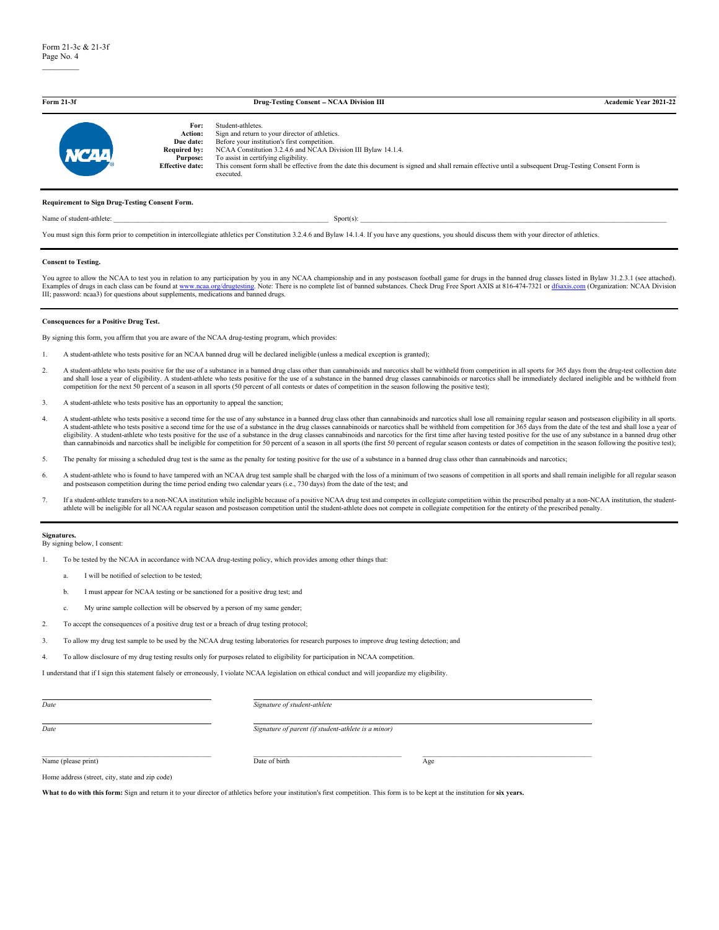| Form 21-3f        |                                                                                                  | Drug-Testing Consent - NCAA Division III                                                                                                                                                                                                                                                                                                                                                           | <b>Academic Year 2021-22</b> |
|-------------------|--------------------------------------------------------------------------------------------------|----------------------------------------------------------------------------------------------------------------------------------------------------------------------------------------------------------------------------------------------------------------------------------------------------------------------------------------------------------------------------------------------------|------------------------------|
| NCAA <sup>1</sup> | For:<br>Action:<br>Due date:<br><b>Required by:</b><br><b>Purpose:</b><br><b>Effective date:</b> | Student-athletes.<br>Sign and return to your director of athletics.<br>Before your institution's first competition.<br>NCAA Constitution 3.2.4.6 and NCAA Division III Bylaw 14.1.4.<br>To assist in certifying eligibility.<br>This consent form shall be effective from the date this document is signed and shall remain effective until a subsequent Drug-Testing Consent Form is<br>executed. |                              |

#### **Requirement to Sign Drug-Testing Consent Form.**

Name of student-athlete:  ${\rm Sport(s):}$ 

You must sign this form prior to competition in intercollegiate athletics per Constitution 3.2.4.6 and Bylaw 14.1.4. If you have any questions, you should discuss them with your director of athletics.

#### **Consent to Testing.**

You agree to allow the NCAA to test you in relation to any participation by you in any NCAA championship and in any postseason football game for drugs in the banned drug classes listed in Bylaw 31.2.3.1 (see attached).<br>Exa

#### **Consequences for a Positive Drug Test.**

By signing this form, you affirm that you are aware of the NCAA drug-testing program, which provides:

- 1. A student-athlete who tests positive for an NCAA banned drug will be declared ineligible (unless a medical exception is granted);
- 2. A student-athlete who tests positive for the use of a substance in a banned drug class other than cannabinoids and narcotics shall be withheld from competition in all sports for 365 days from the drug-test collection da and shall lose a year of eligibility. A student-athlete who tests positive for the use of a substance in the banned drug classes cannabinoids or narcotics shall be immediately declared ineligible and be withheld from competition for the next 50 percent of a season in all sports (50 percent of all contests or dates of competition in the season following the positive test);
- 3. A student-athlete who tests positive has an opportunity to appeal the sanction;
- 4. A student-athlete who tests positive a second time for the use of any substance in a banned drug class other than cannabinoids and narcotics shall lose all remaining regular season and postseason eligibility in all spor A student-athlete who tests positive a second time for the use of a substance in the drug classes cannabinoids or narcotics shall be withheld from competition for 365 days from the date of the test and shall lose a year of eligibility. A student-athlete who tests positive for the use of a substance in the drug classes cannabinoids and narcotics for the first time after having tested positive for the use of any substance in a banned drug othe
- 5. The penalty for missing a scheduled drug test is the same as the penalty for testing positive for the use of a substance in a banned drug class other than cannabinoids and narcotics;
- 6. A student-athlete who is found to have tampered with an NCAA drug test sample shall be charged with the loss of a minimum of two seasons of competition in all sports and shall remain ineligible for all regular season and postseason competition during the time period ending two calendar years (i.e., 730 days) from the date of the test; and
- 7. If a student-athlete transfers to a non-NCAA institution while ineligible because of a positive NCAA drug test and competes in collegiate competition within the prescribed penalty at a non-NCAA institution, the studentathlete will be ineligible for all NCAA regular season and postseason competition until the student-athlete does not compete in collegiate competition for the entirety of the prescribed penalty.

#### **Signatures.** By signing below, I consent:

1. To be tested by the NCAA in accordance with NCAA drug-testing policy, which provides among other things that:

- a. I will be notified of selection to be tested;
- b. I must appear for NCAA testing or be sanctioned for a positive drug test; and
- c. My urine sample collection will be observed by a person of my same gender;
- 2. To accept the consequences of a positive drug test or a breach of drug testing protocol;
- 3. To allow my drug test sample to be used by the NCAA drug testing laboratories for research purposes to improve drug testing detection; and
- 4. To allow disclosure of my drug testing results only for purposes related to eligibility for participation in NCAA competition.

I understand that if I sign this statement falsely or erroneously, I violate NCAA legislation on ethical conduct and will jeopardize my eligibility.

| Date                                            | Signature of student-athlete                        |     |
|-------------------------------------------------|-----------------------------------------------------|-----|
| Date                                            | Signature of parent (if student-athlete is a minor) |     |
| Name (please print)                             | Date of birth                                       | Age |
| Home address (street, city, state and zip code) |                                                     |     |

What to do with this form: Sign and return it to your director of athletics before your institution's first competition. This form is to be kept at the institution for six years.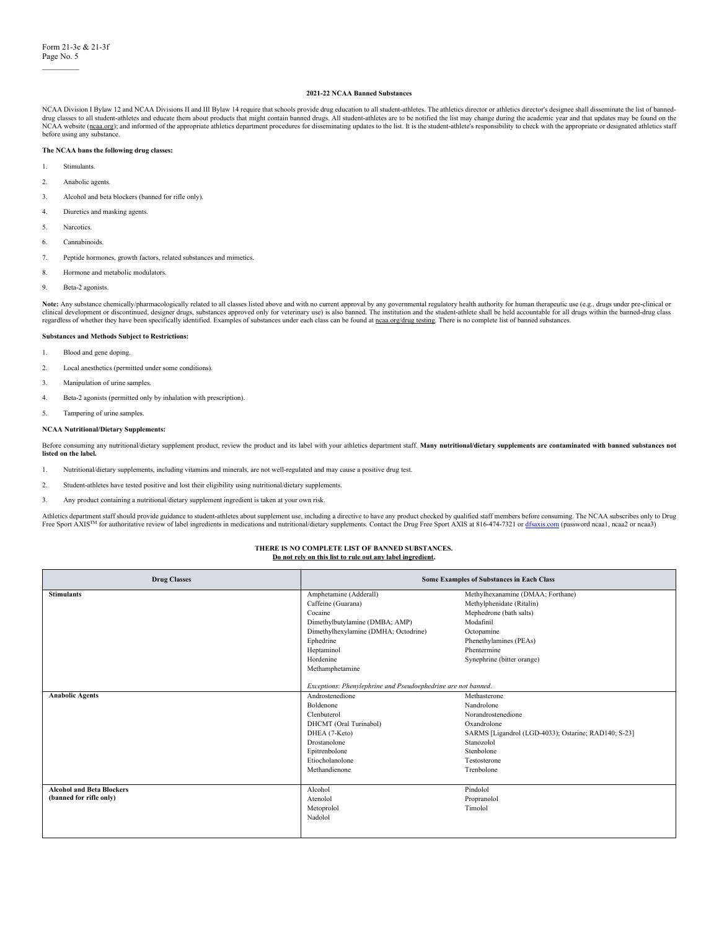$\mathcal{L}=\mathcal{L}$ 

#### **2021-22 NCAA Banned Substances**

NCAA Division I Bylaw 12 and NCAA Divisions II and III Bylaw 14 require that schools provide drug education to all student-athletes. The athletics director or athletics director's designee shall disseminate the list of ban drug classes to all student-athletes and educate them about products that might contain banned drugs. All student-athletes are to be notified the list may change during the academic year and that updates may be found on th NCAA website [\(ncaa.org\);](http://www.ncaa.org/) and informed of the appropriate athletics department procedures for disseminating updates to the list. It is the student-athlete's responsibility to check with the appropriate or designated athleti before using any substance.

#### **The NCAA bans the following drug classes:**

- 1. Stimulants.
- 2. Anabolic agents.
- 3. Alcohol and beta blockers (banned for rifle only).
- 4. Diuretics and masking agents.
- 5. Narcotics.
- 6. Cannabinoids.
- 7. Peptide hormones, growth factors, related substances and mimetics.
- 8. Hormone and metabolic modulators.
- 9. Beta-2 agonists.

Note: Any substance chemically/pharmacologically related to all classes listed above and with no current approval by any governmental regulatory health authority for human therapeutic use (e.g., drugs under pre-clinical or clinical development or discontinued, designer drugs, substances approved only for veterinary use) is also banned. The institution and the student-athlete shall be held accountable for all drugs within the banned-drug clas

#### **Substances and Methods Subject to Restrictions:**

- 1. Blood and gene doping.
- 2. Local anesthetics (permitted under some conditions).
- 3. Manipulation of urine samples.
- 4. Beta-2 agonists (permitted only by inhalation with prescription).
- 5. Tampering of urine samples.

#### **NCAA Nutritional/Dietary Supplements:**

Before consuming any nutritional/dietary supplement product, review the product and its label with your athletics department staff. Many nutritional/dietary supplements are contaminated with banned substances not **listed on the label.**

- 1. Nutritional/dietary supplements, including vitamins and minerals, are not well-regulated and may cause a positive drug test.
- 2. Student-athletes have tested positive and lost their eligibility using nutritional/dietary supplements.
- 3. Any product containing a nutritional/dietary supplement ingredient is taken at your own risk.

Athletics department staff should provide guidance to student-athletes about supplement use, including a directive to have any product checked by qualified staff members before consuming. The NCAA subscribes only to Drug<br>

#### **THERE IS NO COMPLETE LIST OF BANNED SUBSTANCES. Do not rely on this list to rule out any label ingredient.**

| <b>Drug Classes</b>              |                                                               | <b>Some Examples of Substances in Each Class</b>     |
|----------------------------------|---------------------------------------------------------------|------------------------------------------------------|
| <b>Stimulants</b>                | Amphetamine (Adderall)                                        | Methylhexanamine (DMAA; Forthane)                    |
|                                  | Caffeine (Guarana)                                            | Methylphenidate (Ritalin)                            |
|                                  | Cocaine                                                       | Mephedrone (bath salts)                              |
|                                  | Dimethylbutylamine (DMBA; AMP)                                | Modafinil                                            |
|                                  | Dimethylhexylamine (DMHA; Octodrine)                          | Octopamine                                           |
|                                  | Ephedrine                                                     | Phenethylamines (PEAs)                               |
|                                  | Heptaminol                                                    | Phentermine                                          |
|                                  | Hordenine                                                     | Synephrine (bitter orange)                           |
|                                  | Methamphetamine                                               |                                                      |
|                                  |                                                               |                                                      |
|                                  | Exceptions: Phenylephrine and Pseudoephedrine are not banned. |                                                      |
| <b>Anabolic Agents</b>           | Androstenedione                                               | Methasterone                                         |
|                                  | Boldenone                                                     | Nandrolone                                           |
|                                  | Clenbuterol                                                   | Norandrostenedione                                   |
|                                  | DHCMT (Oral Turinabol)                                        | Oxandrolone                                          |
|                                  | DHEA (7-Keto)                                                 | SARMS [Ligandrol (LGD-4033); Ostarine; RAD140; S-23] |
|                                  | Drostanolone                                                  | Stanozolol                                           |
|                                  | Epitrenbolone                                                 | Stenbolone                                           |
|                                  | Etiocholanolone                                               | Testosterone                                         |
|                                  | Methandienone                                                 | Trenbolone                                           |
|                                  |                                                               |                                                      |
| <b>Alcohol and Beta Blockers</b> | Alcohol                                                       | Pindolol                                             |
| (banned for rifle only)          | Atenolol                                                      | Propranolol                                          |
|                                  | Metoprolol                                                    | Timolol                                              |
|                                  | Nadolol                                                       |                                                      |
|                                  |                                                               |                                                      |
|                                  |                                                               |                                                      |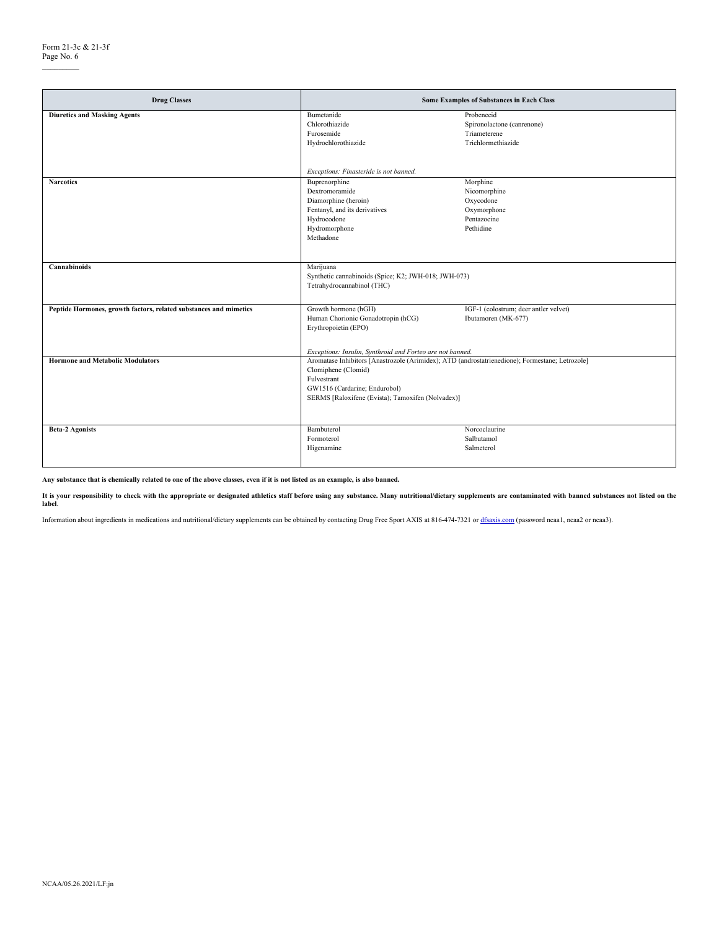$\mathcal{L}=\mathcal{L}$ 

| <b>Drug Classes</b>                                               |                                                                                                                                                                                                                             | Some Examples of Substances in Each Class                                        |
|-------------------------------------------------------------------|-----------------------------------------------------------------------------------------------------------------------------------------------------------------------------------------------------------------------------|----------------------------------------------------------------------------------|
| <b>Diuretics and Masking Agents</b>                               | Bumetanide<br>Chlorothiazide<br>Furosemide<br>Hydrochlorothiazide                                                                                                                                                           | Probenecid<br>Spironolactone (canrenone)<br>Triameterene<br>Trichlormethiazide   |
|                                                                   | Exceptions: Finasteride is not banned.                                                                                                                                                                                      |                                                                                  |
| <b>Narcotics</b>                                                  | Buprenorphine<br>Dextromoramide<br>Diamorphine (heroin)<br>Fentanyl, and its derivatives<br>Hydrocodone<br>Hydromorphone<br>Methadone                                                                                       | Morphine<br>Nicomorphine<br>Oxycodone<br>Oxymorphone<br>Pentazocine<br>Pethidine |
| Cannabinoids                                                      | Marijuana<br>Synthetic cannabinoids (Spice; K2; JWH-018; JWH-073)<br>Tetrahydrocannabinol (THC)                                                                                                                             |                                                                                  |
| Peptide Hormones, growth factors, related substances and mimetics | Growth hormone (hGH)<br>Human Chorionic Gonadotropin (hCG)<br>Erythropoietin (EPO)<br>Exceptions: Insulin, Synthroid and Forteo are not banned.                                                                             | IGF-1 (colostrum; deer antler velvet)<br>Ibutamoren (MK-677)                     |
| <b>Hormone and Metabolic Modulators</b>                           | Aromatase Inhibitors [Anastrozole (Arimidex); ATD (androstatrienedione); Formestane; Letrozole]<br>Clomiphene (Clomid)<br>Fulvestrant<br>GW1516 (Cardarine; Endurobol)<br>SERMS [Raloxifene (Evista); Tamoxifen (Nolvadex)] |                                                                                  |
| <b>Beta-2 Agonists</b>                                            | Bambuterol<br>Formoterol<br>Higenamine                                                                                                                                                                                      | Norcoclaurine<br>Salbutamol<br>Salmeterol                                        |

**Any substance that is chemically related to one of the above classes, even if it is not listed as an example, is also banned.** 

It is your responsibility to check with the appropriate or designated athletics staff before using any substance. Many nutritional/dietary supplements are contaminated with banned substances not listed on the<br>label.

Information about ingredients in medications and nutritional/dietary supplements can be obtained by contacting Drug Free Sport AXIS at 816-474-7321 o[r dfsaxis.com](https://dfsaxis.com/users/login) (password ncaa1, ncaa2 or ncaa3).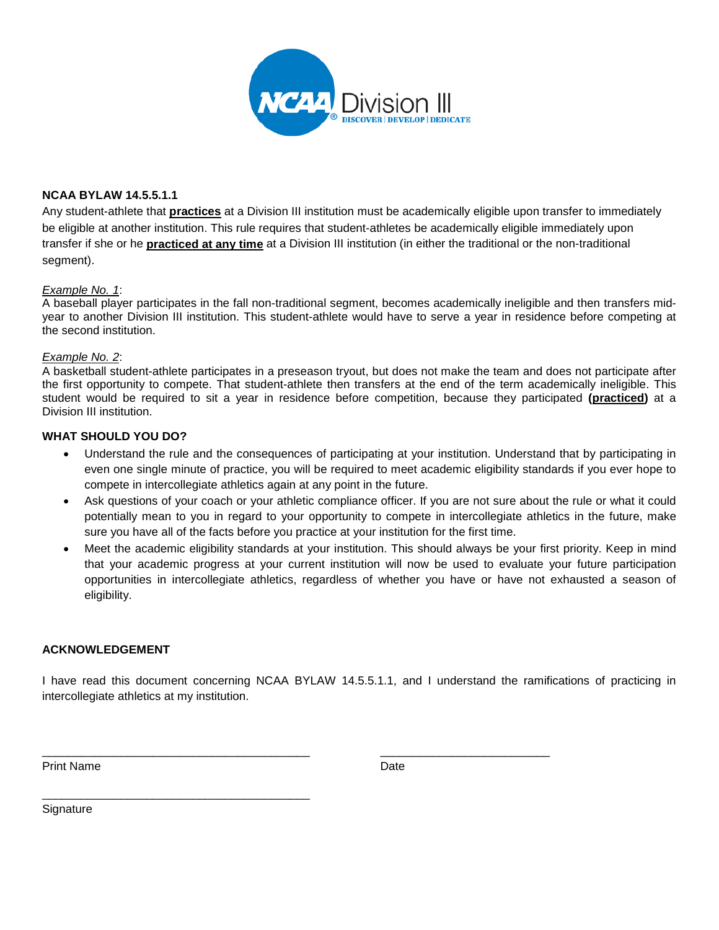

### **NCAA BYLAW 14.5.5.1.1**

Any student-athlete that **practices** at a Division III institution must be academically eligible upon transfer to immediately be eligible at another institution. This rule requires that student-athletes be academically eligible immediately upon transfer if she or he **practiced at any time** at a Division III institution (in either the traditional or the non-traditional segment).

### *Example No. 1*:

A baseball player participates in the fall non-traditional segment, becomes academically ineligible and then transfers midyear to another Division III institution. This student-athlete would have to serve a year in residence before competing at the second institution.

### *Example No. 2*:

A basketball student-athlete participates in a preseason tryout, but does not make the team and does not participate after the first opportunity to compete. That student-athlete then transfers at the end of the term academically ineligible. This student would be required to sit a year in residence before competition, because they participated **(practiced)** at a Division III institution.

### **WHAT SHOULD YOU DO?**

- Understand the rule and the consequences of participating at your institution. Understand that by participating in even one single minute of practice, you will be required to meet academic eligibility standards if you ever hope to compete in intercollegiate athletics again at any point in the future.
- Ask questions of your coach or your athletic compliance officer. If you are not sure about the rule or what it could potentially mean to you in regard to your opportunity to compete in intercollegiate athletics in the future, make sure you have all of the facts before you practice at your institution for the first time.
- Meet the academic eligibility standards at your institution. This should always be your first priority. Keep in mind that your academic progress at your current institution will now be used to evaluate your future participation opportunities in intercollegiate athletics, regardless of whether you have or have not exhausted a season of eligibility.

### **ACKNOWLEDGEMENT**

\_\_\_\_\_\_\_\_\_\_\_\_\_\_\_\_\_\_\_\_\_\_\_\_\_\_\_\_\_\_\_\_\_\_\_\_\_\_\_\_\_

I have read this document concerning NCAA BYLAW 14.5.5.1.1, and I understand the ramifications of practicing in intercollegiate athletics at my institution.

\_\_\_\_\_\_\_\_\_\_\_\_\_\_\_\_\_\_\_\_\_\_\_\_\_\_\_\_\_\_\_\_\_\_\_\_\_\_\_\_\_ \_\_\_\_\_\_\_\_\_\_\_\_\_\_\_\_\_\_\_\_\_\_\_\_\_\_

Print Name **Date** 

**Signature**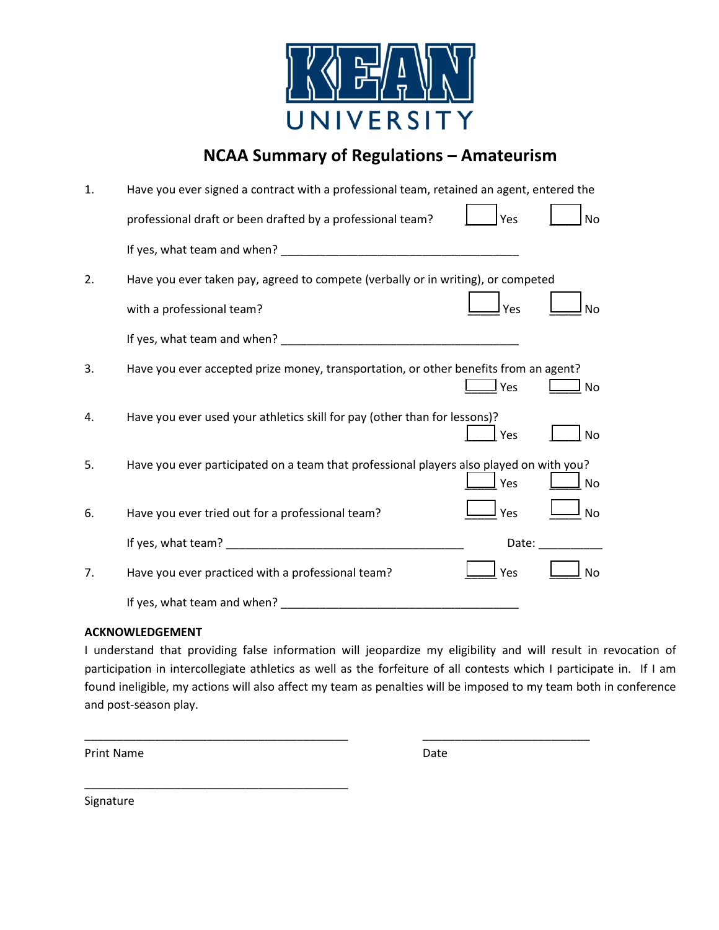

## **NCAA Summary of Regulations – Amateurism**

| 1. | Have you ever signed a contract with a professional team, retained an agent, entered the             |
|----|------------------------------------------------------------------------------------------------------|
|    | professional draft or been drafted by a professional team?<br>Yes<br><b>No</b>                       |
|    |                                                                                                      |
| 2. | Have you ever taken pay, agreed to compete (verbally or in writing), or competed                     |
|    | with a professional team?<br>Yes<br>No                                                               |
|    |                                                                                                      |
| 3. | Have you ever accepted prize money, transportation, or other benefits from an agent?<br>Yes<br>No    |
| 4. | Have you ever used your athletics skill for pay (other than for lessons)?<br>Yes<br><b>No</b>        |
| 5. | Have you ever participated on a team that professional players also played on with you?<br>Yes<br>No |
| 6. | Yes<br>Have you ever tried out for a professional team?<br>No                                        |
|    | Date:                                                                                                |
| 7. | Have you ever practiced with a professional team?<br>Yes<br>No                                       |
|    | If yes, what team and when? __                                                                       |

### **ACKNOWLEDGEMENT**

\_\_\_\_\_\_\_\_\_\_\_\_\_\_\_\_\_\_\_\_\_\_\_\_\_\_\_\_\_\_\_\_\_\_\_\_\_\_\_\_\_

I understand that providing false information will jeopardize my eligibility and will result in revocation of participation in intercollegiate athletics as well as the forfeiture of all contests which I participate in. If I am found ineligible, my actions will also affect my team as penalties will be imposed to my team both in conference and post-season play.

\_\_\_\_\_\_\_\_\_\_\_\_\_\_\_\_\_\_\_\_\_\_\_\_\_\_\_\_\_\_\_\_\_\_\_\_\_\_\_\_\_ \_\_\_\_\_\_\_\_\_\_\_\_\_\_\_\_\_\_\_\_\_\_\_\_\_\_

Print Name Date

Signature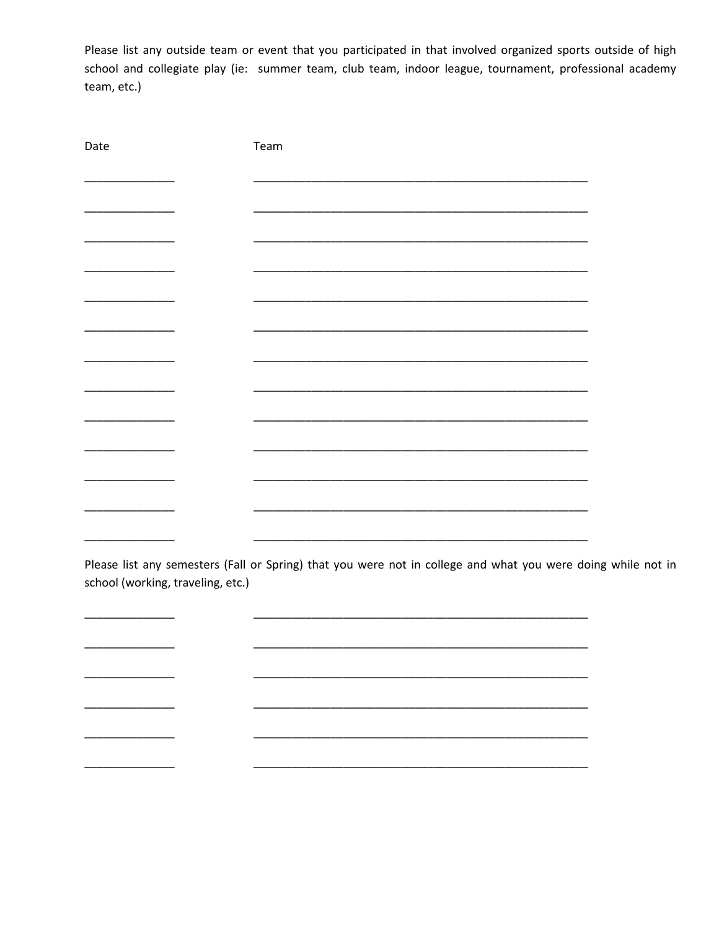Please list any outside team or event that you participated in that involved organized sports outside of high school and collegiate play (ie: summer team, club team, indoor league, tournament, professional academy team, etc.)

| Date                          | Team |
|-------------------------------|------|
|                               |      |
|                               |      |
|                               |      |
|                               |      |
|                               |      |
|                               |      |
|                               |      |
|                               |      |
| the control of the control of |      |
|                               |      |
|                               |      |
|                               |      |
|                               |      |
|                               |      |

Please list any semesters (Fall or Spring) that you were not in college and what you were doing while not in school (working, traveling, etc.)

\_\_\_\_\_\_\_\_

 $\overline{\phantom{0}}$ 

 $\overline{\phantom{0}}$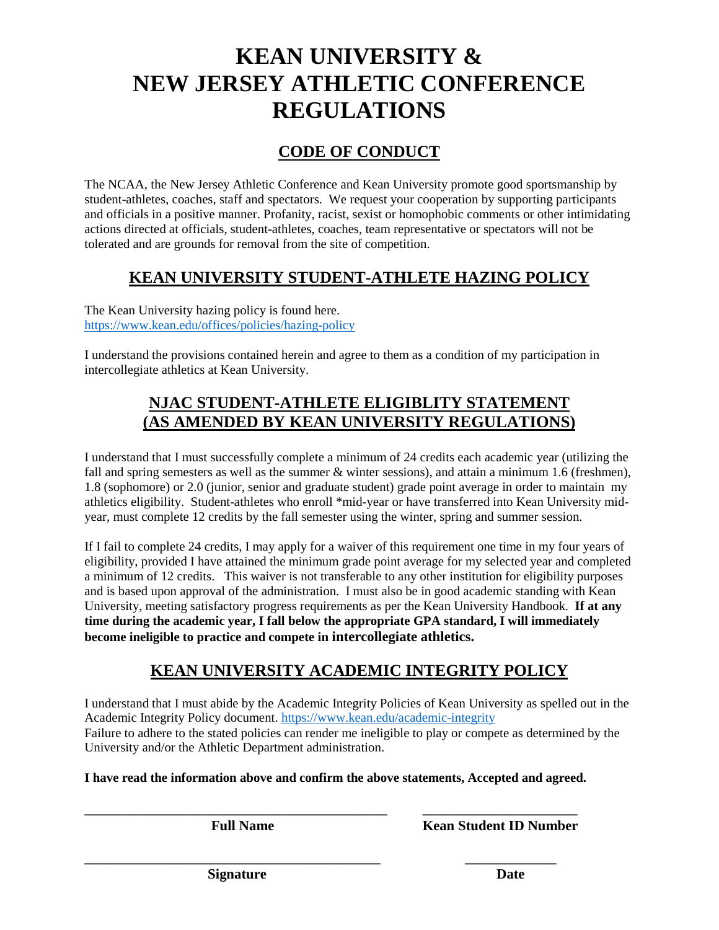# **KEAN UNIVERSITY & NEW JERSEY ATHLETIC CONFERENCE REGULATIONS**

## **CODE OF CONDUCT**

The NCAA, the New Jersey Athletic Conference and Kean University promote good sportsmanship by student-athletes, coaches, staff and spectators. We request your cooperation by supporting participants and officials in a positive manner. Profanity, racist, sexist or homophobic comments or other intimidating actions directed at officials, student-athletes, coaches, team representative or spectators will not be tolerated and are grounds for removal from the site of competition.

## **KEAN UNIVERSITY STUDENT-ATHLETE HAZING POLICY**

The Kean University hazing policy is found here. <https://www.kean.edu/offices/policies/hazing-policy>

I understand the provisions contained herein and agree to them as a condition of my participation in intercollegiate athletics at Kean University.

## **NJAC STUDENT-ATHLETE ELIGIBLITY STATEMENT (AS AMENDED BY KEAN UNIVERSITY REGULATIONS)**

I understand that I must successfully complete a minimum of 24 credits each academic year (utilizing the fall and spring semesters as well as the summer & winter sessions), and attain a minimum 1.6 (freshmen), 1.8 (sophomore) or 2.0 (junior, senior and graduate student) grade point average in order to maintain my athletics eligibility. Student-athletes who enroll \*mid-year or have transferred into Kean University midyear, must complete 12 credits by the fall semester using the winter, spring and summer session.

If I fail to complete 24 credits, I may apply for a waiver of this requirement one time in my four years of eligibility, provided I have attained the minimum grade point average for my selected year and completed a minimum of 12 credits. This waiver is not transferable to any other institution for eligibility purposes and is based upon approval of the administration. I must also be in good academic standing with Kean University, meeting satisfactory progress requirements as per the Kean University Handbook. **If at any time during the academic year, I fall below the appropriate GPA standard, I will immediately become ineligible to practice and compete in intercollegiate athletics.**

## **KEAN UNIVERSITY ACADEMIC INTEGRITY POLICY**

I understand that I must abide by the Academic Integrity Policies of Kean University as spelled out in the Academic Integrity Policy document.<https://www.kean.edu/academic-integrity> Failure to adhere to the stated policies can render me ineligible to play or compete as determined by the University and/or the Athletic Department administration.

**I have read the information above and confirm the above statements, Accepted and agreed.**

**\_\_\_\_\_\_\_\_\_\_\_\_\_\_\_\_\_\_\_\_\_\_\_\_\_\_\_\_\_\_\_\_\_\_\_\_\_\_\_\_\_\_\_ \_\_\_\_\_\_\_\_\_\_\_\_\_\_\_\_\_\_\_\_\_\_** 

**\_\_\_\_\_\_\_\_\_\_\_\_\_\_\_\_\_\_\_\_\_\_\_\_\_\_\_\_\_\_\_\_\_\_\_\_\_\_\_\_\_\_ \_\_\_\_\_\_\_\_\_\_\_\_\_**

**Full Name Kean Student ID Number**